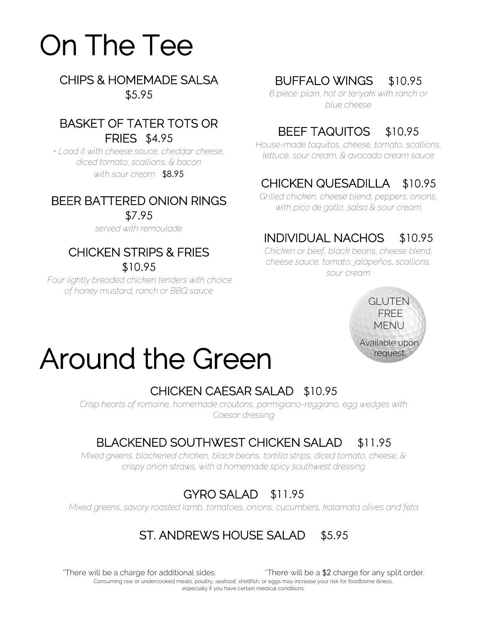# On The Tee

CHIPS & HOMEMADE SALSA \$5.95

#### BASKET OF TATER TOTS OR FRIES \$4.95

*+ Load it with cheese sauce, cheddar cheese, diced tomato, scallions, & bacon with sour cream* \$8.95

# BEER BATTERED ONION RINGS

\$7.95

*served with remoulade*

# CHICKEN STRIPS & FRIES

\$10.95

*Four lightly breaded chicken tenders with choice of honey mustard, ranch or BBQ sauce*

## BUFFALO WINGS \$10.95

*6 piece: plain, hot or teriyaki with ranch or blue cheese*

# BEEF TAQUITOS \$10.95

*House-made taquitos, cheese, tomato, scallions, lettuce, sour cream, & avocado cream sauce*

# CHICKEN QUESADILLA\$10.95

*Grilled chicken, cheese blend, peppers, onions, with pico de gallo, salsa & sour cream*

# INDIVIDUAL NACHOS \$10.95

*Chicken or beef, black beans, cheese blend, cheese sauce, tomato, jalapeños, scallions, sour cream*



# Around the Green

# CHICKEN CAESAR SALAD \$10.95

*Crisp hearts of romaine, homemade croutons, parmigiano-reggiano, egg wedges with Caesar dressing*

# BLACKENED SOUTHWEST CHICKEN SALAD \$11.95

*Mixed greens, blackened chicken, black beans, tortilla strips, diced tomato, cheese, & crispy onion straws, with a homemade spicy southwest dressing*

# GYRO SALAD \$11.95

*Mixed greens, savory roasted lamb, tomatoes, onions, cucumbers, kalamata olives and feta*

# ST. ANDREWS HOUSE SALAD \$5.95

 $*$ There will be a charge for additional sides.  $*$ There will be a  $$2$  charge for any split order. Consuming raw or undercooked meats, poultry, seafood, shellfish, or eggs may increase your risk for foodborne illness, especially if you have certain medical conditions.